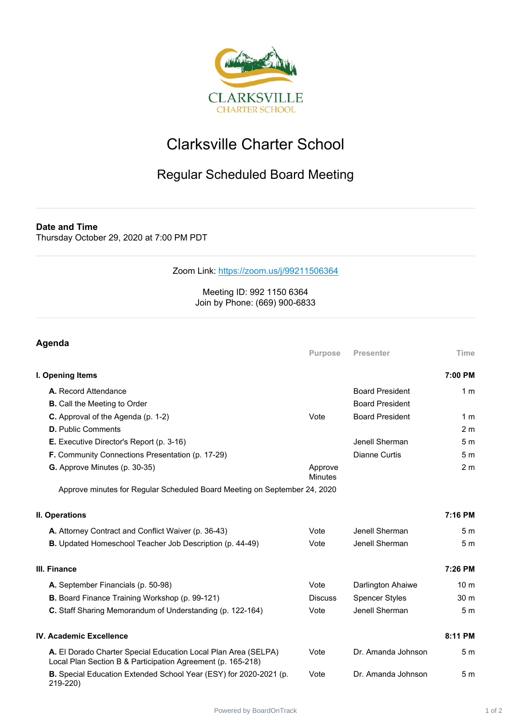

## Clarksville Charter School

## Regular Scheduled Board Meeting

**Date and Time**

Thursday October 29, 2020 at 7:00 PM PDT

## Zoom Link: <https://zoom.us/j/99211506364>

## Meeting ID: 992 1150 6364 Join by Phone: (669) 900-6833

| Agenda                                                                                                                        |                           |                        |                 |
|-------------------------------------------------------------------------------------------------------------------------------|---------------------------|------------------------|-----------------|
|                                                                                                                               | <b>Purpose</b>            | <b>Presenter</b>       | Time            |
| I. Opening Items                                                                                                              |                           |                        | 7:00 PM         |
| A. Record Attendance                                                                                                          |                           | <b>Board President</b> | 1 <sub>m</sub>  |
| <b>B.</b> Call the Meeting to Order                                                                                           |                           | <b>Board President</b> |                 |
| C. Approval of the Agenda (p. 1-2)                                                                                            | Vote                      | <b>Board President</b> | 1 <sub>m</sub>  |
| <b>D.</b> Public Comments                                                                                                     |                           |                        | 2 <sub>m</sub>  |
| E. Executive Director's Report (p. 3-16)                                                                                      |                           | Jenell Sherman         | 5 <sub>m</sub>  |
| <b>F.</b> Community Connections Presentation (p. 17-29)                                                                       |                           | Dianne Curtis          | 5 <sub>m</sub>  |
| <b>G.</b> Approve Minutes (p. 30-35)                                                                                          | Approve<br><b>Minutes</b> |                        | 2 <sub>m</sub>  |
| Approve minutes for Regular Scheduled Board Meeting on September 24, 2020                                                     |                           |                        |                 |
| II. Operations                                                                                                                |                           |                        | 7:16 PM         |
| A. Attorney Contract and Conflict Waiver (p. 36-43)                                                                           | Vote                      | Jenell Sherman         | 5 <sub>m</sub>  |
| B. Updated Homeschool Teacher Job Description (p. 44-49)                                                                      | Vote                      | Jenell Sherman         | 5 <sub>m</sub>  |
| III. Finance                                                                                                                  |                           |                        | 7:26 PM         |
| A. September Financials (p. 50-98)                                                                                            | Vote                      | Darlington Ahaiwe      | 10 <sub>m</sub> |
| B. Board Finance Training Workshop (p. 99-121)                                                                                | <b>Discuss</b>            | <b>Spencer Styles</b>  | 30 <sub>m</sub> |
| C. Staff Sharing Memorandum of Understanding (p. 122-164)                                                                     | Vote                      | Jenell Sherman         | 5 <sub>m</sub>  |
| <b>IV. Academic Excellence</b>                                                                                                |                           |                        | 8:11 PM         |
| A. El Dorado Charter Special Education Local Plan Area (SELPA)<br>Local Plan Section B & Participation Agreement (p. 165-218) | Vote                      | Dr. Amanda Johnson     | 5 <sub>m</sub>  |
| B. Special Education Extended School Year (ESY) for 2020-2021 (p.<br>219-220)                                                 | Vote                      | Dr. Amanda Johnson     | 5 <sub>m</sub>  |